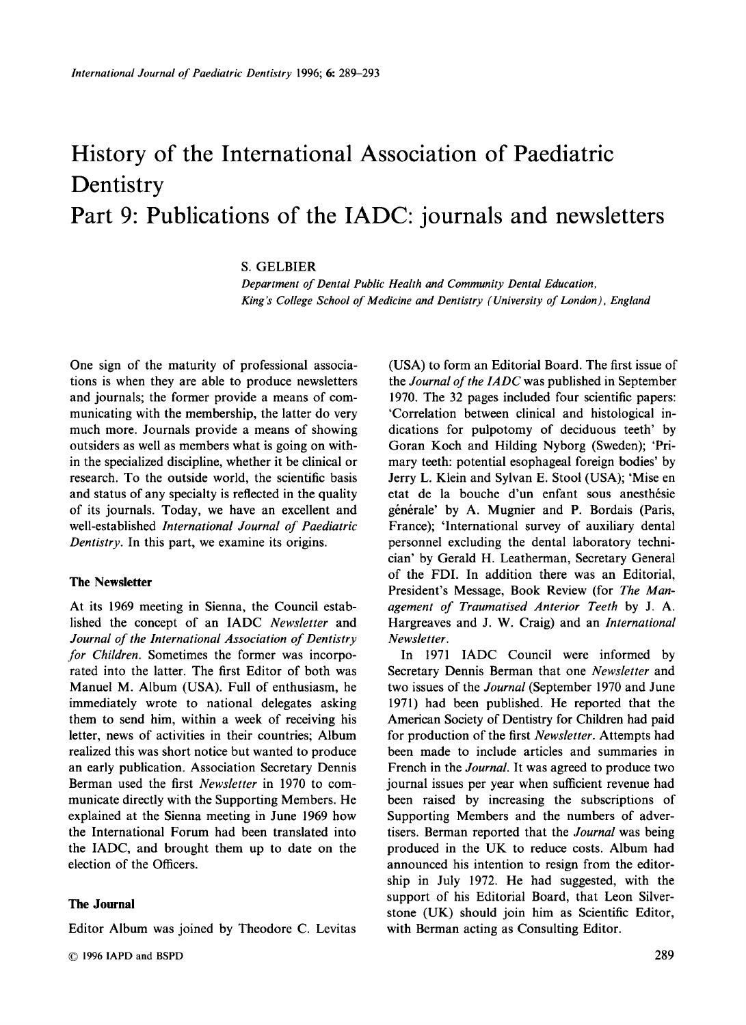# History of the International Association of Paediatric Dentistry Part 9: Publications of the IADC: journals and newsletters

**S.** GELBIER

*Department of Dental Public Health and Community Dental Education, King's College School of Medicine and Dentistry (University of London), England* 

One sign of the maturity of professional associations is when they are able to produce newsletters and journals; the former provide a means of communicating with the membership, the latter do very much more. Journals provide a means of showing outsiders as well as members what is going on within the specialized discipline, whether it be clinical or research. To the outside world, the scientific basis and status of any specialty is reflected in the quality of its journals. Today, we have an excellent and well-established *International Journal of Paediatric Dentistry.* In this part, we examine its origins.

#### **The Newsletter**

At its 1969 meeting in Sienna, the Council established the concept of an IADC *Newsletter* and *Journal of the International Association of Dentistry for Children.* Sometimes the former was incorporated into the latter. The first Editor of both was Manuel M. Album (USA). Full of enthusiasm, he immediately wrote to national delegates asking them to send him, within a week of receiving his letter, news of activities in their countries; Album realized this was short notice but wanted to produce an early publication. Association Secretary Dennis Berman used the first *Newsletter* in 1970 to communicate directly with the Supporting Members. He explained at the Sienna meeting in June 1969 how the International Forum had been translated into the IADC, and brought them up to date on the election of the Officers.

#### **The Journal**

Editor Album was joined by Theodore C. Levitas

(USA) to form an Editorial Board. The first issue of the *Journal of the ZADC* was published in September 1970. The 32 pages included four scientific papers: 'Correlation between clinical and histological indications for pulpotomy of deciduous teeth' by Goran Koch and Hilding Nyborg (Sweden); 'Primary teeth: potential esophageal foreign bodies' by Jerry L. Klein and Sylvan E. Stool (USA); 'Mise en etat de la bouche d'un enfant sous anesthésie générale' by A. Mugnier and P. Bordais (Paris, France); 'International survey of auxiliary dental personnel excluding the dental laboratory technician' by Gerald H. Leatherman, Secretary General of the FDI. In addition there was an Editorial, President's Message, Book Review (for *The Management of Traumatised Anterior Teeth* by J. A. Hargreaves and J. **W.** Craig) and an *International Newsletter.* 

In 1971 IADC Council were informed by Secretary Dennis Berman that one *Newsletter* and two issues of the *Journal* (September 1970 and June 1971) had been published. He reported that the American Society of Dentistry for Children had paid for production of the first *Newsletter.* Attempts had been made to include articles and summaries in French in the *Journal.* It was agreed to produce two journal issues per year when sufficient revenue had been raised by increasing the subscriptions of Supporting Members and the numbers of advertisers. Berman reported that the *Journal* was being produced in the UK to reduce costs. Album had announced his intention to resign from the editorship in July 1972. He had suggested, with the support of his Editorial Board, that Leon Silverstone (UK) should join him as Scientific Editor, with Berman acting as Consulting Editor.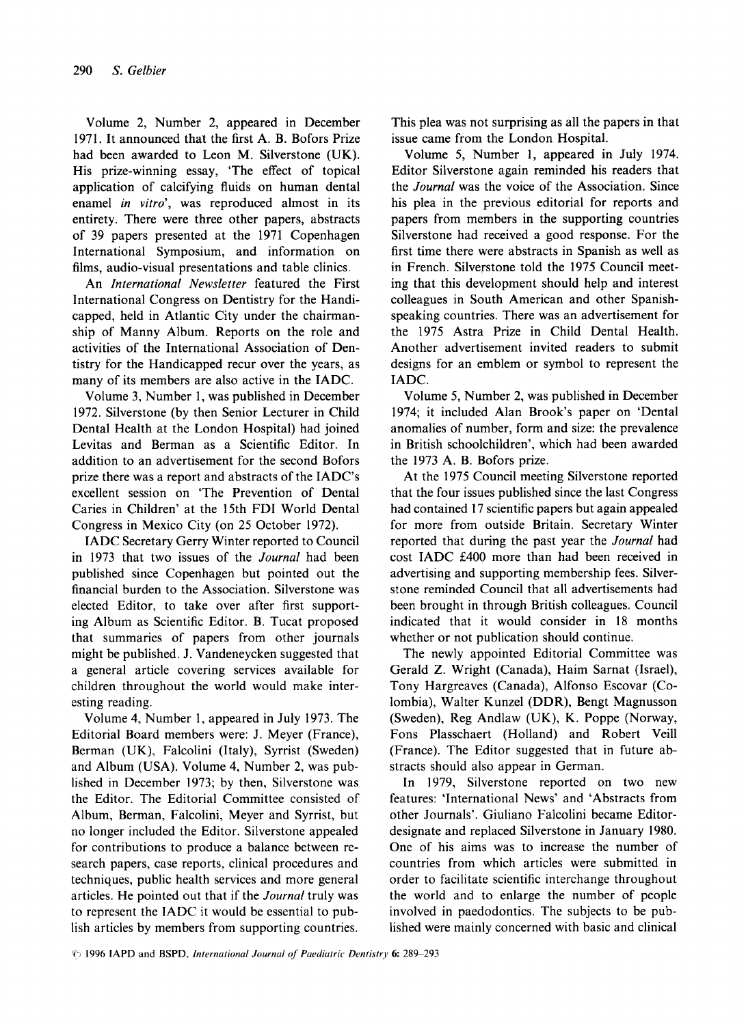Volume 2, Number 2, appeared in December 1971. It announced that the first A. B. Bofors Prize had been awarded to Leon M. Silverstone (UK). His prize-winning essay, 'The effect of topical application of calcifying fluids on human dental enamel *in vitro',* was reproduced almost in its entirety. There were three other papers, abstracts of 39 papers presented at the 1971 Copenhagen International Symposium, and information on films, audio-visual presentations and table clinics.

An *International Newsletter* featured the First International Congress on Dentistry for the Handicapped, held in Atlantic City under the chairmanship of Manny Album. Reports on the role and activities of the International Association of Dentistry for the Handicapped recur over the years, as many of its members are also active in the IADC.

Volume 3, Number 1, was published in December 1972. Silverstone (by then Senior Lecturer in Child Dental Health at the London Hospital) had joined Levitas and Berman as a Scientific Editor. In addition to an advertisement for the second Bofors prize there was a report and abstracts of the IADC's excellent session on 'The Prevention of Dental Caries in Children' at the 15th FDI World Dental Congress in Mexico City (on 25 October 1972).

IADC Secretary Gerry Winter reported to Council in 1973 that two issues of the *Journal* had been published since Copenhagen but pointed out the financial burden to the Association. Silverstone was elected Editor, to take over after first supporting Album as Scientific Editor. B. Tucat proposed that summaries of papers from other journals might be published. J. Vandeneycken suggested that a general article covering services available for children throughout the world would make interesting reading.

Volume **4,** Number 1, appeared in July 1973. The Editorial Board members were: J. Meyer (France), Berman (UK), Falcolini (Italy), Syrrist (Sweden) and Album (USA). Volume 4, Number 2, was published in December 1973; by then, Silverstone was the Editor. The Editorial Committee consisted of Album, Berman, Falcolini, Meyer and Syrrist, but no longer included the Editor. Silverstone appealed for contributions to produce a balance between research papers, case reports, clinical procedures and techniques, public health services and more general articles. He pointed out that if the *Journal* truly was to represent the IADC it would be essential to publish articles by members from supporting countries.

This plea was not surprising as all the papers in that issue came from the London Hospital.

Volume *5,* Number **1,** appeared in July 1974. Editor Silverstone again reminded his readers that the *Journal* was the voice of the Association. Since his plea in the previous editorial for reports and papers from members in the supporting countries Silverstone had received a good response. For the first time there were abstracts in Spanish as well as in French. Silverstone told the 1975 Council meeting that this development should help and interest colleagues in South American and other Spanishspeaking countries. There was an advertisement for the 1975 Astra Prize in Child Dental Health. Another advertisement invited readers to submit designs for an emblem or symbol to represent the IADC.

Volume *5,* Number 2, was published in December 1974; it included Alan Brook's paper on 'Dental anomalies of number, form and size: the prevalence in British schoolchildren', which had been awarded the 1973 A. B. Bofors prize.

At the 1975 Council meeting Silverstone reported that the four issues published since the last Congress had contained 17 scientific papers but again appealed for more from outside Britain. Secretary Winter reported that during the past year the *Journal* had cost IADC E400 more than had been received in advertising and supporting membership fees. Silverstone reminded Council that all advertisements had been brought in through British colleagues. Council indicated that it would consider in 18 months whether or not publication should continue.

The newly appointed Editorial Committee was Gerald **Z.** Wright (Canada), Haim Sarnat (Israel), Tony Hargreaves (Canada), Alfonso Escovar (Colombia), Walter Kunzel (DDR), Bengt Magnusson (Sweden), Reg Andlaw **(UK),** K. Poppe (Norway, Fons Plasschaert (Holland) and Robert Veil1 (France). The Editor suggested that in future abstracts should also appear in German.

In 1979, Silverstone reported on two new features: 'International News' and 'Abstracts from other Journals'. Giuliano Falcolini became Editordesignate and replaced Silverstone in January 1980. One of his aims was to increase the number of countries from which articles were submitted in order to facilitate scientific interchange throughout the world and to enlarge the number of people involved in paedodontics. The subjects to be published were mainly concerned with basic and clinical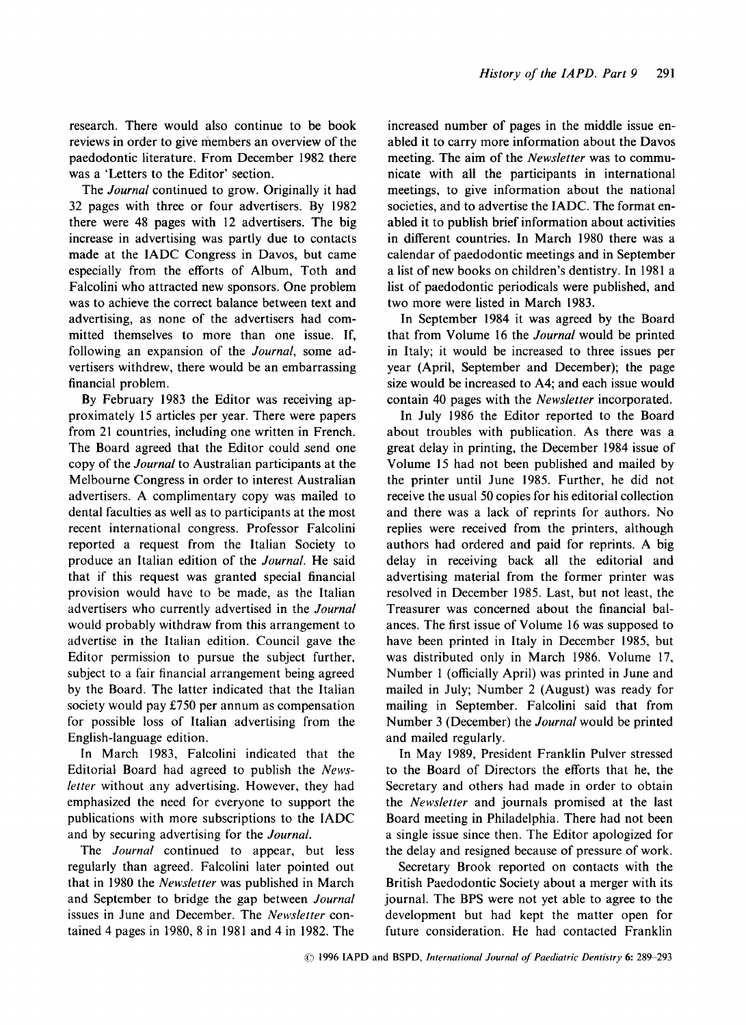research. There would also continue to be book reviews in order to give members an overview of the paedodontic literature. From December 1982 there was a 'Letters to the Editor' section.

The *Journal* continued to grow. Originally it had 32 pages with three or four advertisers. By 1982 there were 48 pages with 12 advertisers. The big increase in advertising was partly due to contacts made at the IADC Congress in Davos, but came especially from the efforts of Album, Toth and Falcolini who attracted new sponsors. One problem was to achieve the correct balance between text and advertising, as none of the advertisers had committed themselves to more than one issue. If, following an expansion of the *Journal,* some advertisers withdrew, there would be an embarrassing financial problem.

By February 1983 the Editor was receiving approximately 15 articles per year. There were papers from 21 countries, including one written in French. The Board agreed that the Editor could send one copy of the *Journal* to Australian participants at the Melbourne Congress in order to interest Australian advertisers. **A** complimentary copy was mailed to dental faculties as well as to participants at the most recent international congress. Professor Falcolini reported a request from the Italian Society to produce an Italian edition of the *Journal.* He said that if this request was granted special financial provision would have to be made, as the Italian advertisers who currently advertised in the *Journal*  would probably withdraw from this arrangement to advertise in the Italian edition. Council gave the Editor permission to pursue the subject further, subject to a fair financial arrangement being agreed by the Board. The latter indicated that the Italian society would pay £750 per annum as compensation for possible loss of Italian advertising from the English-language edition.

In March 1983, Falcolini indicated that the Editorial Board had agreed to publish the *Newsletter* without any advertising. However, they had emphasized the need for everyone to support the publications with more subscriptions to the IADC and by securing advertising for the *Journal.* 

The *Journal* continued to appear, but less regularly than agreed. Falcolini later pointed out that in 1980 the *Newsletter* was published in March and September to bridge the gap between *Journal*  issues in June and December. The *Newsletter* contained 4 pages in 1980, 8 in 1981 and 4 in 1982. The

increased number of pages in the middle issue enabled it to carry more information about the Davos meeting. The aim of the *Newsletter* was to communicate with all the participants in international meetings, to give information about the national societies, and to advertise the IADC. The format enabled it to publish brief information about activities in different countries. In March 1980 there was a calendar of paedodontic meetings and in September a list of new books on children's dentistry. In 1981 a list of paedodontic periodicals were published, and two more were listed in March 1983.

In September 1984 it was agreed by the Board that from Volume 16 the *Journal* would be printed in Italy; it would be increased to three issues per year (April, September and December); the page size would be increased to A4; and each issue would contain 40 pages with the *Newsletter* incorporated.

In July 1986 the Editor reported to the Board about troubles with publication. As there was a great delay in printing, the December 1984 issue of Volume 15 had not been published and mailed by the printer until June 1985. Further, he did not receive the usual 50 copies for his editorial collection and there was a lack of reprints for authors. No replies were received from the printers, although authors had ordered and paid for reprints. A big delay in receiving back all the editorial and advertising material from the former printer was resolved in December 1985. Last, but not least, the Treasurer was concerned about the financial balances. The first issue of Volume 16 was supposed to have been printed in Italy in December 1985, but was distributed only in March 1986. Volume 17, Number 1 (officially April) was printed in June and mailed in July; Number 2 (August) was ready for mailing in September. Falcolini said that from Number 3 (December) the *Journal* would be printed and mailed regularly.

In May 1989, President Franklin Pulver stressed to the Board of Directors the efforts that he, the Secretary and others had made in order to obtain the *Newsletter* and journals promised at the last Board meeting in Philadelphia. There had not been a single issue since then. The Editor apologized for the delay and resigned because of pressure of work.

Secretary Brook reported on contacts with the British Paedodontic Society about a merger with its journal. The BPS were not yet able to agree to the development but had kept the matter open for future consideration. He had contacted Franklin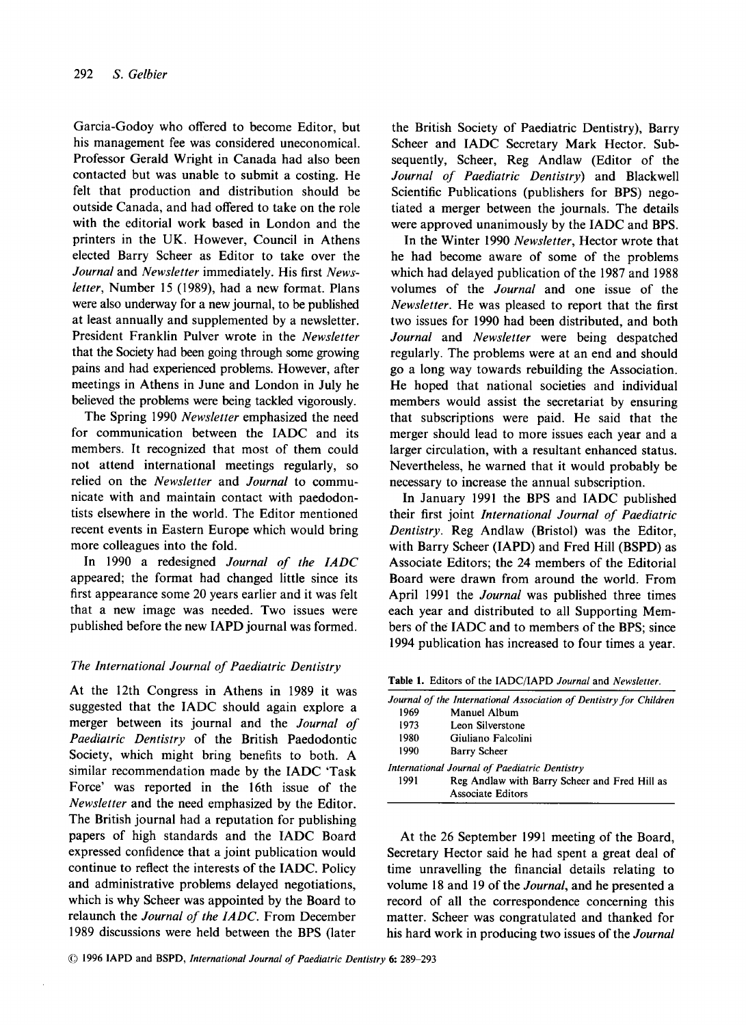Garcia-Godoy who offered to become Editor, but his management fee was considered uneconomical. Professor Gerald Wright in Canada had also been contacted but was unable to submit a costing. He felt that production and distribution should be outside Canada, and had offered to take on the role with the editorial work based in London and the printers in the UK. However, Council in Athens elected Barry Scheer as Editor to take over the *Journal* and *Newsletter* immediately. His first *Newsletrer,* Number 15 (1989), had a new format. Plans were also underway for a new journal, to be published at least annually and supplemented by a newsletter. President Franklin Pulver wrote in the *Newsletter*  that the Society had been going through some growing pains and had experienced problems. However, after meetings in Athens in June and London in July he believed the problems were being tackled vigorously.

The Spring 1990 *Newsletter* emphasized the need for communication between the IADC and its members. It recognized that most of them could not attend international meetings regularly, so relied on the *Newsletter* and *Journal* to communicate with and maintain contact with paedodontists elsewhere in the world. The Editor mentioned recent events in Eastern Europe which would bring more colleagues into the fold.

In 1990 a redesigned *Journal of the IADC*  appeared; the format had changed little since its first appearance some 20 years earlier and it was felt that a new image was needed. Two issues were published before the new IAPD journal was formed.

# *The International Journal of Paediatric Dentistry*

At the 12th Congress in Athens in 1989 it was suggested that the IADC should again explore a merger between its journal and the *Journal of Paediatric Dentistry* of the British Paedodontic Society, which might bring benefits to both. A similar recommendation made by the IADC 'Task Force' was reported in the 16th issue of the *Newsletter* and the need emphasized by the Editor. The British journal had a reputation for publishing papers of high standards and the IADC Board expressed confidence that a joint publication would continue to reflect the interests of the IADC. Policy and administrative problems delayed negotiations, which is why Scheer was appointed by the Board to relaunch the *Journal of the ZADC.* From December 1989 discussions were held between the BPS (later

the British Society of Paediatric Dentistry), Barry Scheer and IADC Secretary Mark Hector. Subsequently, Scheer, Reg Andlaw (Editor of the *Journal of Paediatric Dentistry)* and Blackwell Scientific Publications (publishers for BPS) negotiated a merger between the journals. The details were approved unanimously by the IADC and BPS.

In the Winter 1990 *Newsletter,* Hector wrote that he had become aware of some of the problems which had delayed publication of the 1987 and 1988 volumes of the *Journal* and one issue of the *Newsletter.* He was pleased to report that the first two issues for 1990 had been distributed, and both *Journal* and *Newsletter* were being despatched regularly. The problems were at an end and should go a long way towards rebuilding the Association. He hoped that national societies and individual members would assist the secretariat by ensuring that subscriptions were paid. He said that the merger should lead to more issues each year and a larger circulation, with a resultant enhanced status. Nevertheless, he warned that it would probably be necessary to increase the annual subscription.

In January 1991 the BPS and IADC published their first joint *International Journal of Paediatric Dentistry.* Reg Andlaw (Bristol) was the Editor, with Barry Scheer (IAPD) and Fred Hill (BSPD) as Associate Editors; the 24 members of the Editorial Board were drawn from around the world. From April 1991 the *Journal* was published three times each year and distributed to all Supporting Members of the IADC and to members of the BPS; since 1994 publication has increased to four times a year.

**Table 1. Editors of the IADCiIAPD** *Journal* **and** *Newsletter.* 

|      | Journal of the International Association of Dentistry for Children        |
|------|---------------------------------------------------------------------------|
| 1969 | Manuel Album                                                              |
| 1973 | Leon Silverstone                                                          |
| 1980 | Giuliano Falcolini                                                        |
| 1990 | <b>Barry Scheer</b>                                                       |
|      | International Journal of Paediatric Dentistry                             |
| 1991 | Reg Andlaw with Barry Scheer and Fred Hill as<br><b>Associate Editors</b> |

At the 26 September 1991 meeting of the Board, Secretary Hector said he had spent a great deal of time unravelling the financial details relating to volume **18** and 19 of the *Journal,* and he presented a record of all the correspondence concerning this matter. Scheer was congratulated and thanked for his hard work in producing two issues of the *Journal*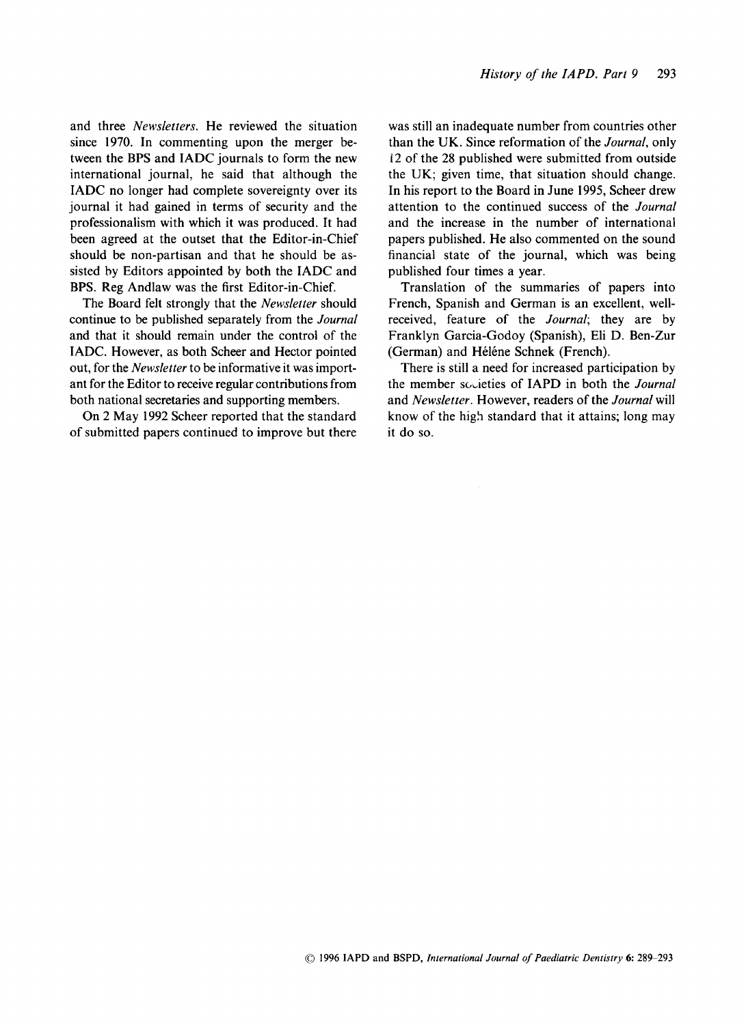and three *Newsletters.* He reviewed the situation since **1970.** In commenting upon the merger between the BPS and IADC journals to form the new international journal, he said that although the IADC no longer had complete sovereignty over its journal it had gained in terms of security and the professionalism with which it was produced. It had been agreed at the outset that the Editor-in-Chief should be non-partisan and that he should be assisted by Editors appointed by both the IADC and BPS. Reg Andlaw was the first Editor-in-Chief.

The Board felt strongly that the *Newsletter* should continue to be published separately from the *Journal*  and that it should remain under the control of the IADC. However, as both Scheer and Hector pointed out, for the *Newsletter* to be informative it was important for the Editor to receive regular contributions from both national secretaries and supporting members.

On **2** May **1992** Scheer reported that the standard of submitted papers continued to improve but there was still an inadequate number from countries other than the **UK.** Since reformation of the *Journal,* only 12 of the **28** published were submitted from outside the **UK;** given time, that situation should change. In his report to the Board in June **1995,** Scheer drew attention to the continued success of the *Journal*  and the increase in the number of international papers published. He also commented on the sound financial state of the journal, which was being published four times a year.

Translation of the summaries of papers into French, Spanish and German is an excellent, wellreceived, feature of the *Journal;* they are by Franklyn Garcia-Godoy (Spanish), Eli D. Ben-Zur (German) and Héléne Schnek (French).

There is still a need for increased participation by the member scieties of IAPD in both the *Journal*  and *Newsletter.* However, readers of the *Journal* will know of the high standard that it attains; long may it do so.